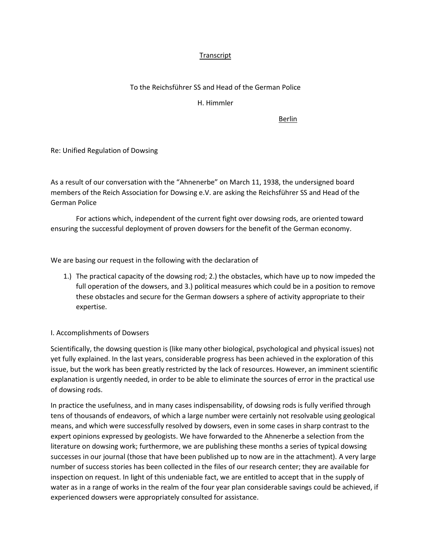## **Transcript**

## To the Reichsführer SS and Head of the German Police

H. Himmler

Berlin

Re: Unified Regulation of Dowsing

As a result of our conversation with the "Ahnenerbe" on March 11, 1938, the undersigned board members of the Reich Association for Dowsing e.V. are asking the Reichsführer SS and Head of the German Police

For actions which, independent of the current fight over dowsing rods, are oriented toward ensuring the successful deployment of proven dowsers for the benefit of the German economy.

We are basing our request in the following with the declaration of

1.) The practical capacity of the dowsing rod; 2.) the obstacles, which have up to now impeded the full operation of the dowsers, and 3.) political measures which could be in a position to remove these obstacles and secure for the German dowsers a sphere of activity appropriate to their expertise.

## I. Accomplishments of Dowsers

Scientifically, the dowsing question is (like many other biological, psychological and physical issues) not yet fully explained. In the last years, considerable progress has been achieved in the exploration of this issue, but the work has been greatly restricted by the lack of resources. However, an imminent scientific explanation is urgently needed, in order to be able to eliminate the sources of error in the practical use of dowsing rods.

In practice the usefulness, and in many cases indispensability, of dowsing rods is fully verified through tens of thousands of endeavors, of which a large number were certainly not resolvable using geological means, and which were successfully resolved by dowsers, even in some cases in sharp contrast to the expert opinions expressed by geologists. We have forwarded to the Ahnenerbe a selection from the literature on dowsing work; furthermore, we are publishing these months a series of typical dowsing successes in our journal (those that have been published up to now are in the attachment). A very large number of success stories has been collected in the files of our research center; they are available for inspection on request. In light of this undeniable fact, we are entitled to accept that in the supply of water as in a range of works in the realm of the four year plan considerable savings could be achieved, if experienced dowsers were appropriately consulted for assistance.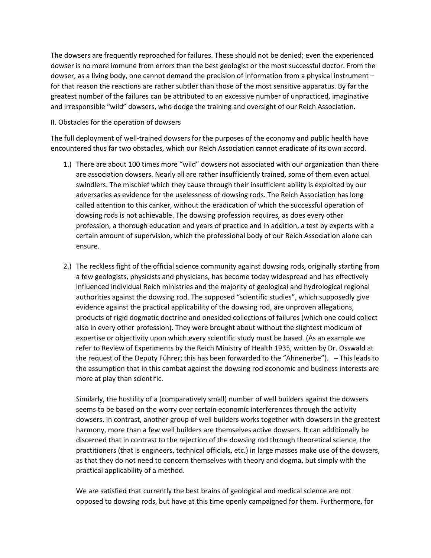The dowsers are frequently reproached for failures. These should not be denied; even the experienced dowser is no more immune from errors than the best geologist or the most successful doctor. From the dowser, as a living body, one cannot demand the precision of information from a physical instrument – for that reason the reactions are rather subtler than those of the most sensitive apparatus. By far the greatest number of the failures can be attributed to an excessive number of unpracticed, imaginative and irresponsible "wild" dowsers, who dodge the training and oversight of our Reich Association.

## II. Obstacles for the operation of dowsers

The full deployment of well-trained dowsers for the purposes of the economy and public health have encountered thus far two obstacles, which our Reich Association cannot eradicate of its own accord.

- 1.) There are about 100 times more "wild" dowsers not associated with our organization than there are association dowsers. Nearly all are rather insufficiently trained, some of them even actual swindlers. The mischief which they cause through their insufficient ability is exploited by our adversaries as evidence for the uselessness of dowsing rods. The Reich Association has long called attention to this canker, without the eradication of which the successful operation of dowsing rods is not achievable. The dowsing profession requires, as does every other profession, a thorough education and years of practice and in addition, a test by experts with a certain amount of supervision, which the professional body of our Reich Association alone can ensure.
- 2.) The reckless fight of the official science community against dowsing rods, originally starting from a few geologists, physicists and physicians, has become today widespread and has effectively influenced individual Reich ministries and the majority of geological and hydrological regional authorities against the dowsing rod. The supposed "scientific studies", which supposedly give evidence against the practical applicability of the dowsing rod, are unproven allegations, products of rigid dogmatic doctrine and onesided collections of failures (which one could collect also in every other profession). They were brought about without the slightest modicum of expertise or objectivity upon which every scientific study must be based. (As an example we refer to Review of Experiments by the Reich Ministry of Health 1935, written by Dr. Osswald at the request of the Deputy Führer; this has been forwarded to the "Ahnenerbe"). – This leads to the assumption that in this combat against the dowsing rod economic and business interests are more at play than scientific.

Similarly, the hostility of a (comparatively small) number of well builders against the dowsers seems to be based on the worry over certain economic interferences through the activity dowsers. In contrast, another group of well builders works together with dowsers in the greatest harmony, more than a few well builders are themselves active dowsers. It can additionally be discerned that in contrast to the rejection of the dowsing rod through theoretical science, the practitioners (that is engineers, technical officials, etc.) in large masses make use of the dowsers, as that they do not need to concern themselves with theory and dogma, but simply with the practical applicability of a method.

We are satisfied that currently the best brains of geological and medical science are not opposed to dowsing rods, but have at this time openly campaigned for them. Furthermore, for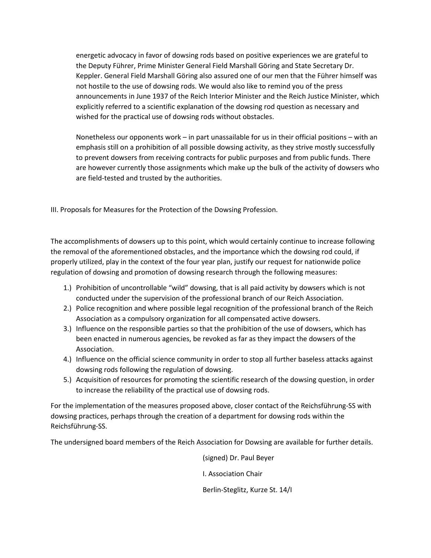energetic advocacy in favor of dowsing rods based on positive experiences we are grateful to the Deputy Führer, Prime Minister General Field Marshall Göring and State Secretary Dr. Keppler. General Field Marshall Göring also assured one of our men that the Führer himself was not hostile to the use of dowsing rods. We would also like to remind you of the press announcements in June 1937 of the Reich Interior Minister and the Reich Justice Minister, which explicitly referred to a scientific explanation of the dowsing rod question as necessary and wished for the practical use of dowsing rods without obstacles.

Nonetheless our opponents work – in part unassailable for us in their official positions – with an emphasis still on a prohibition of all possible dowsing activity, as they strive mostly successfully to prevent dowsers from receiving contracts for public purposes and from public funds. There are however currently those assignments which make up the bulk of the activity of dowsers who are field-tested and trusted by the authorities.

III. Proposals for Measures for the Protection of the Dowsing Profession.

The accomplishments of dowsers up to this point, which would certainly continue to increase following the removal of the aforementioned obstacles, and the importance which the dowsing rod could, if properly utilized, play in the context of the four year plan, justify our request for nationwide police regulation of dowsing and promotion of dowsing research through the following measures:

- 1.) Prohibition of uncontrollable "wild" dowsing, that is all paid activity by dowsers which is not conducted under the supervision of the professional branch of our Reich Association.
- 2.) Police recognition and where possible legal recognition of the professional branch of the Reich Association as a compulsory organization for all compensated active dowsers.
- 3.) Influence on the responsible parties so that the prohibition of the use of dowsers, which has been enacted in numerous agencies, be revoked as far as they impact the dowsers of the Association.
- 4.) Influence on the official science community in order to stop all further baseless attacks against dowsing rods following the regulation of dowsing.
- 5.) Acquisition of resources for promoting the scientific research of the dowsing question, in order to increase the reliability of the practical use of dowsing rods.

For the implementation of the measures proposed above, closer contact of the Reichsführung-SS with dowsing practices, perhaps through the creation of a department for dowsing rods within the Reichsführung-SS.

The undersigned board members of the Reich Association for Dowsing are available for further details.

(signed) Dr. Paul Beyer

I. Association Chair

Berlin-Steglitz, Kurze St. 14/I